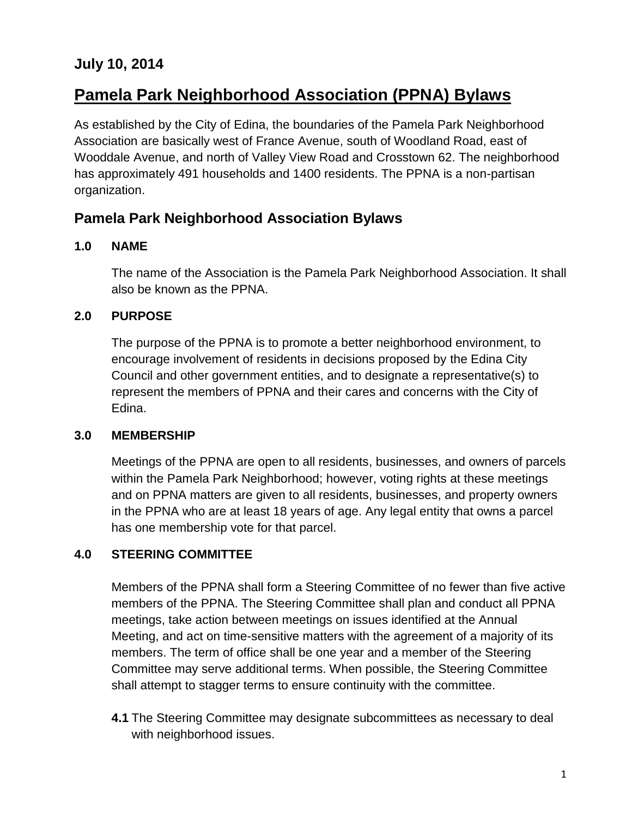# **July 10, 2014**

# **Pamela Park Neighborhood Association (PPNA) Bylaws**

As established by the City of Edina, the boundaries of the Pamela Park Neighborhood Association are basically west of France Avenue, south of Woodland Road, east of Wooddale Avenue, and north of Valley View Road and Crosstown 62. The neighborhood has approximately 491 households and 1400 residents. The PPNA is a non-partisan organization.

## **Pamela Park Neighborhood Association Bylaws**

#### **1.0 NAME**

The name of the Association is the Pamela Park Neighborhood Association. It shall also be known as the PPNA.

## **2.0 PURPOSE**

The purpose of the PPNA is to promote a better neighborhood environment, to encourage involvement of residents in decisions proposed by the Edina City Council and other government entities, and to designate a representative(s) to represent the members of PPNA and their cares and concerns with the City of Edina.

## **3.0 MEMBERSHIP**

Meetings of the PPNA are open to all residents, businesses, and owners of parcels within the Pamela Park Neighborhood; however, voting rights at these meetings and on PPNA matters are given to all residents, businesses, and property owners in the PPNA who are at least 18 years of age. Any legal entity that owns a parcel has one membership vote for that parcel.

## **4.0 STEERING COMMITTEE**

Members of the PPNA shall form a Steering Committee of no fewer than five active members of the PPNA. The Steering Committee shall plan and conduct all PPNA meetings, take action between meetings on issues identified at the Annual Meeting, and act on time-sensitive matters with the agreement of a majority of its members. The term of office shall be one year and a member of the Steering Committee may serve additional terms. When possible, the Steering Committee shall attempt to stagger terms to ensure continuity with the committee.

**4.1** The Steering Committee may designate subcommittees as necessary to deal with neighborhood issues.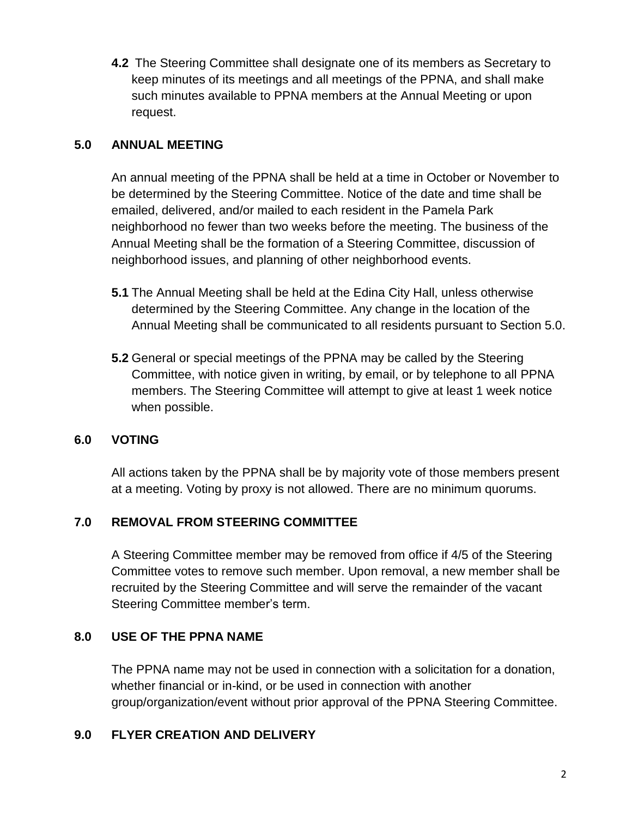**4.2** The Steering Committee shall designate one of its members as Secretary to keep minutes of its meetings and all meetings of the PPNA, and shall make such minutes available to PPNA members at the Annual Meeting or upon request.

#### **5.0 ANNUAL MEETING**

An annual meeting of the PPNA shall be held at a time in October or November to be determined by the Steering Committee. Notice of the date and time shall be emailed, delivered, and/or mailed to each resident in the Pamela Park neighborhood no fewer than two weeks before the meeting. The business of the Annual Meeting shall be the formation of a Steering Committee, discussion of neighborhood issues, and planning of other neighborhood events.

- **5.1** The Annual Meeting shall be held at the Edina City Hall, unless otherwise determined by the Steering Committee. Any change in the location of the Annual Meeting shall be communicated to all residents pursuant to Section 5.0.
- **5.2** General or special meetings of the PPNA may be called by the Steering Committee, with notice given in writing, by email, or by telephone to all PPNA members. The Steering Committee will attempt to give at least 1 week notice when possible.

## **6.0 VOTING**

All actions taken by the PPNA shall be by majority vote of those members present at a meeting. Voting by proxy is not allowed. There are no minimum quorums.

## **7.0 REMOVAL FROM STEERING COMMITTEE**

A Steering Committee member may be removed from office if 4/5 of the Steering Committee votes to remove such member. Upon removal, a new member shall be recruited by the Steering Committee and will serve the remainder of the vacant Steering Committee member's term.

## **8.0 USE OF THE PPNA NAME**

The PPNA name may not be used in connection with a solicitation for a donation, whether financial or in-kind, or be used in connection with another group/organization/event without prior approval of the PPNA Steering Committee.

#### **9.0 FLYER CREATION AND DELIVERY**